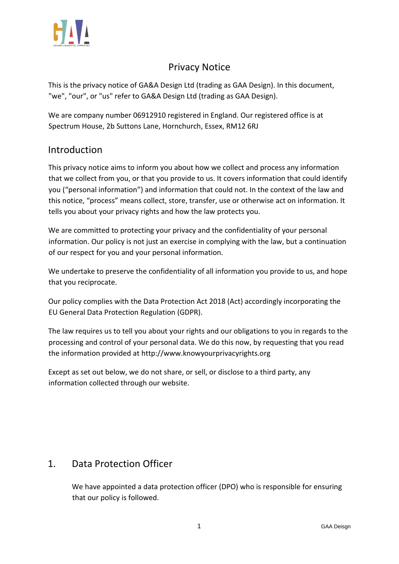

# Privacy Notice

This is the privacy notice of GA&A Design Ltd (trading as GAA Design). In this document, "we", "our", or "us" refer to GA&A Design Ltd (trading as GAA Design).

We are company number 06912910 registered in England. Our registered office is at Spectrum House, 2b Suttons Lane, Hornchurch, Essex, RM12 6RJ

#### Introduction

This privacy notice aims to inform you about how we collect and process any information that we collect from you, or that you provide to us. It covers information that could identify you ("personal information") and information that could not. In the context of the law and this notice, "process" means collect, store, transfer, use or otherwise act on information. It tells you about your privacy rights and how the law protects you.

We are committed to protecting your privacy and the confidentiality of your personal information. Our policy is not just an exercise in complying with the law, but a continuation of our respect for you and your personal information.

We undertake to preserve the confidentiality of all information you provide to us, and hope that you reciprocate.

Our policy complies with the Data Protection Act 2018 (Act) accordingly incorporating the EU General Data Protection Regulation (GDPR).

The law requires us to tell you about your rights and our obligations to you in regards to the processing and control of your personal data. We do this now, by requesting that you read the information provided at [http://www.knowyourprivacyrights.org](http://www.knowyourprivacyrights.org/) 

Except as set out below, we do not share, or sell, or disclose to a third party, any information collected through our website.

## 1. Data Protection Officer

We have appointed a data protection officer (DPO) who is responsible for ensuring that our policy is followed.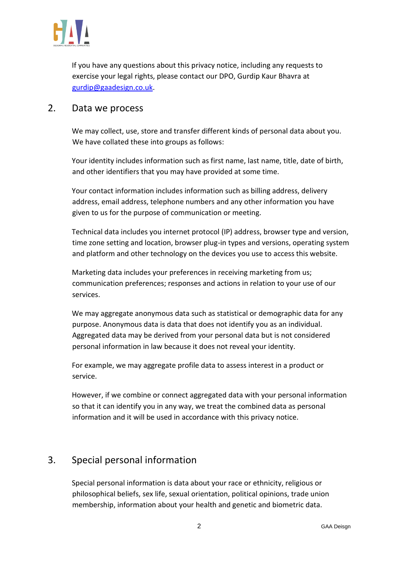

If you have any questions about this privacy notice, including any requests to exercise your legal rights, please contact our DPO, Gurdip Kaur Bhavra at gurdip@gaadesign.co.uk.

#### 2. Data we process

We may collect, use, store and transfer different kinds of personal data about you. We have collated these into groups as follows:

Your identity includes information such as first name, last name, title, date of birth, and other identifiers that you may have provided at some time.

Your contact information includes information such as billing address, delivery address, email address, telephone numbers and any other information you have given to us for the purpose of communication or meeting.

Technical data includes you internet protocol (IP) address, browser type and version, time zone setting and location, browser plug-in types and versions, operating system and platform and other technology on the devices you use to access this website.

Marketing data includes your preferences in receiving marketing from us; communication preferences; responses and actions in relation to your use of our services.

We may aggregate anonymous data such as statistical or demographic data for any purpose. Anonymous data is data that does not identify you as an individual. Aggregated data may be derived from your personal data but is not considered personal information in law because it does not reveal your identity.

For example, we may aggregate profile data to assess interest in a product or service.

However, if we combine or connect aggregated data with your personal information so that it can identify you in any way, we treat the combined data as personal information and it will be used in accordance with this privacy notice.

## 3. Special personal information

Special personal information is data about your race or ethnicity, religious or philosophical beliefs, sex life, sexual orientation, political opinions, trade union membership, information about your health and genetic and biometric data.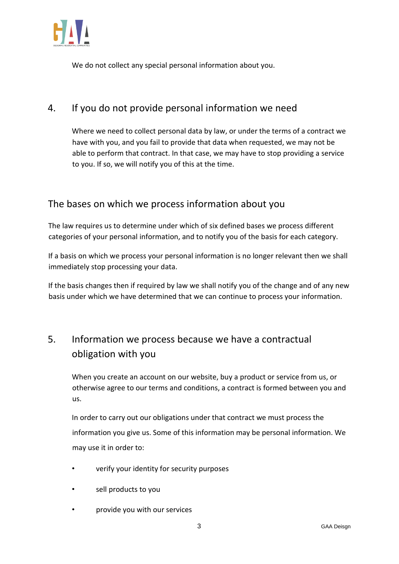

We do not collect any special personal information about you.

# 4. If you do not provide personal information we need

Where we need to collect personal data by law, or under the terms of a contract we have with you, and you fail to provide that data when requested, we may not be able to perform that contract. In that case, we may have to stop providing a service to you. If so, we will notify you of this at the time.

### The bases on which we process information about you

The law requires us to determine under which of six defined bases we process different categories of your personal information, and to notify you of the basis for each category.

If a basis on which we process your personal information is no longer relevant then we shall immediately stop processing your data.

If the basis changes then if required by law we shall notify you of the change and of any new basis under which we have determined that we can continue to process your information.

# 5. Information we process because we have a contractual obligation with you

When you create an account on our website, buy a product or service from us, or otherwise agree to our terms and conditions, a contract is formed between you and us.

In order to carry out our obligations under that contract we must process the information you give us. Some of this information may be personal information. We may use it in order to:

- verify your identity for security purposes
- sell products to you
- provide you with our services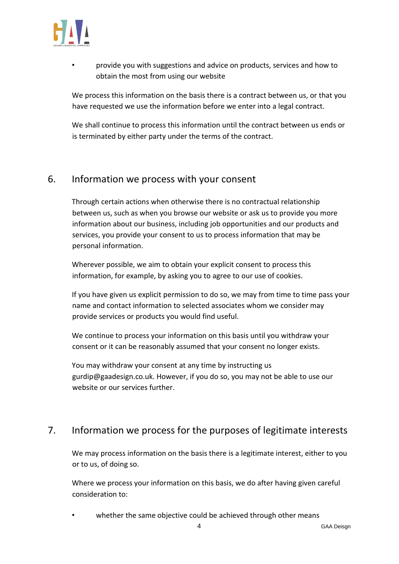

• provide you with suggestions and advice on products, services and how to obtain the most from using our website

We process this information on the basis there is a contract between us, or that you have requested we use the information before we enter into a legal contract.

We shall continue to process this information until the contract between us ends or is terminated by either party under the terms of the contract.

#### 6. Information we process with your consent

Through certain actions when otherwise there is no contractual relationship between us, such as when you browse our website or ask us to provide you more information about our business, including job opportunities and our products and services, you provide your consent to us to process information that may be personal information.

Wherever possible, we aim to obtain your explicit consent to process this information, for example, by asking you to agree to our use of cookies.

If you have given us explicit permission to do so, we may from time to time pass your name and contact information to selected associates whom we consider may provide services or products you would find useful.

We continue to process your information on this basis until you withdraw your consent or it can be reasonably assumed that your consent no longer exists.

You may withdraw your consent at any time by instructing us gurdip@gaadesign.co.uk. However, if you do so, you may not be able to use our website or our services further.

# 7. Information we process for the purposes of legitimate interests

We may process information on the basis there is a legitimate interest, either to you or to us, of doing so.

Where we process your information on this basis, we do after having given careful consideration to:

whether the same objective could be achieved through other means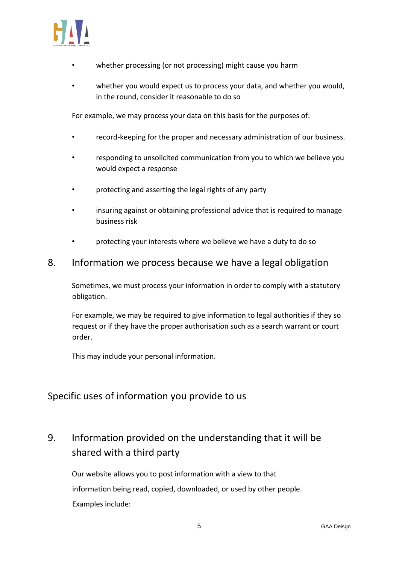

- whether processing (or not processing) might cause you harm
- whether you would expect us to process your data, and whether you would. in the round, consider it reasonable to do so

For example, we may process your data on this basis for the purposes of:

- record-keeping for the proper and necessary administration of our business.
- responding to unsolicited communication from you to which we believe you would expect a response
- protecting and asserting the legal rights of any party
- insuring against or obtaining professional advice that is required to manage business risk
- protecting your interests where we believe we have a duty to do so

#### 8. Information we process because we have a legal obligation

Sometimes, we must process your information in order to comply with a statutory obligation.

For example, we may be required to give information to legal authorities if they so request or if they have the proper authorisation such as a search warrant or court order.

This may include your personal information.

#### Specific uses of information you provide to us

# 9. Information provided on the understanding that it will be shared with a third party

Our website allows you to post information with a view to that information being read, copied, downloaded, or used by other people. Examples include: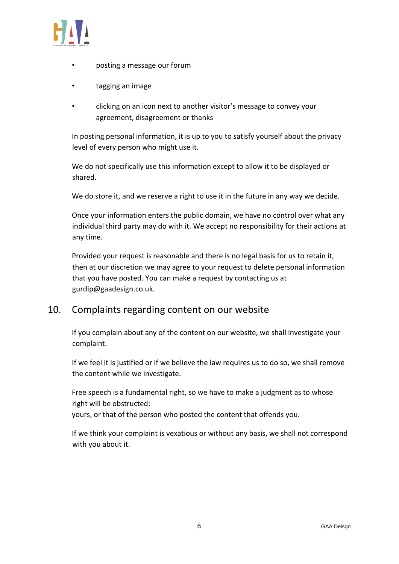

- posting a message our forum
- tagging an image
- clicking on an icon next to another visitor's message to convey your agreement, disagreement or thanks

In posting personal information, it is up to you to satisfy yourself about the privacy level of every person who might use it.

We do not specifically use this information except to allow it to be displayed or shared.

We do store it, and we reserve a right to use it in the future in any way we decide.

Once your information enters the public domain, we have no control over what any individual third party may do with it. We accept no responsibility for their actions at any time.

Provided your request is reasonable and there is no legal basis for us to retain it, then at our discretion we may agree to your request to delete personal information that you have posted. You can make a request by contacting us at gurdip@gaadesign.co.uk.

#### 10. Complaints regarding content on our website

If you complain about any of the content on our website, we shall investigate your complaint.

If we feel it is justified or if we believe the law requires us to do so, we shall remove the content while we investigate.

Free speech is a fundamental right, so we have to make a judgment as to whose right will be obstructed:

yours, or that of the person who posted the content that offends you.

If we think your complaint is vexatious or without any basis, we shall not correspond with you about it.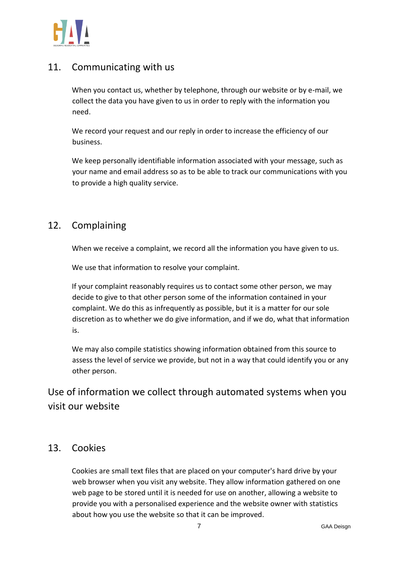

## 11. Communicating with us

When you contact us, whether by telephone, through our website or by e-mail, we collect the data you have given to us in order to reply with the information you need.

We record your request and our reply in order to increase the efficiency of our business.

We keep personally identifiable information associated with your message, such as your name and email address so as to be able to track our communications with you to provide a high quality service.

# 12. Complaining

When we receive a complaint, we record all the information you have given to us.

We use that information to resolve your complaint.

If your complaint reasonably requires us to contact some other person, we may decide to give to that other person some of the information contained in your complaint. We do this as infrequently as possible, but it is a matter for our sole discretion as to whether we do give information, and if we do, what that information is.

We may also compile statistics showing information obtained from this source to assess the level of service we provide, but not in a way that could identify you or any other person.

Use of information we collect through automated systems when you visit our website

#### 13. Cookies

Cookies are small text files that are placed on your computer's hard drive by your web browser when you visit any website. They allow information gathered on one web page to be stored until it is needed for use on another, allowing a website to provide you with a personalised experience and the website owner with statistics about how you use the website so that it can be improved.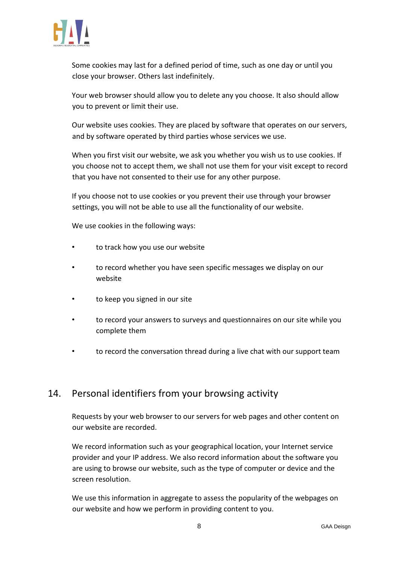

Some cookies may last for a defined period of time, such as one day or until you close your browser. Others last indefinitely.

Your web browser should allow you to delete any you choose. It also should allow you to prevent or limit their use.

Our website uses cookies. They are placed by software that operates on our servers, and by software operated by third parties whose services we use.

When you first visit our website, we ask you whether you wish us to use cookies. If you choose not to accept them, we shall not use them for your visit except to record that you have not consented to their use for any other purpose.

If you choose not to use cookies or you prevent their use through your browser settings, you will not be able to use all the functionality of our website.

We use cookies in the following ways:

- to track how you use our website
- to record whether you have seen specific messages we display on our website
- to keep you signed in our site
- to record your answers to surveys and questionnaires on our site while you complete them
- to record the conversation thread during a live chat with our support team

#### 14. Personal identifiers from your browsing activity

Requests by your web browser to our servers for web pages and other content on our website are recorded.

We record information such as your geographical location, your Internet service provider and your IP address. We also record information about the software you are using to browse our website, such as the type of computer or device and the screen resolution.

We use this information in aggregate to assess the popularity of the webpages on our website and how we perform in providing content to you.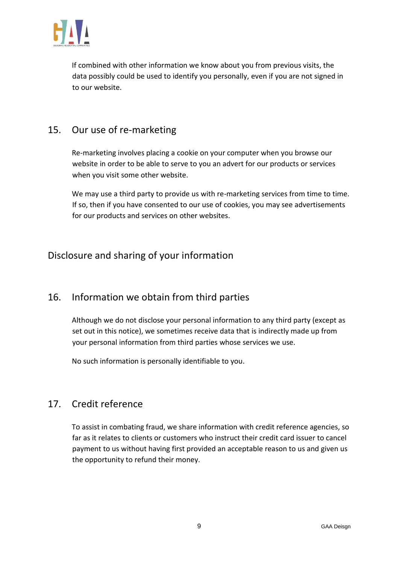

If combined with other information we know about you from previous visits, the data possibly could be used to identify you personally, even if you are not signed in to our website.

# 15. Our use of re-marketing

Re-marketing involves placing a cookie on your computer when you browse our website in order to be able to serve to you an advert for our products or services when you visit some other website.

We may use a third party to provide us with re-marketing services from time to time. If so, then if you have consented to our use of cookies, you may see advertisements for our products and services on other websites.

## Disclosure and sharing of your information

#### 16. Information we obtain from third parties

Although we do not disclose your personal information to any third party (except as set out in this notice), we sometimes receive data that is indirectly made up from your personal information from third parties whose services we use.

No such information is personally identifiable to you.

#### 17. Credit reference

To assist in combating fraud, we share information with credit reference agencies, so far as it relates to clients or customers who instruct their credit card issuer to cancel payment to us without having first provided an acceptable reason to us and given us the opportunity to refund their money.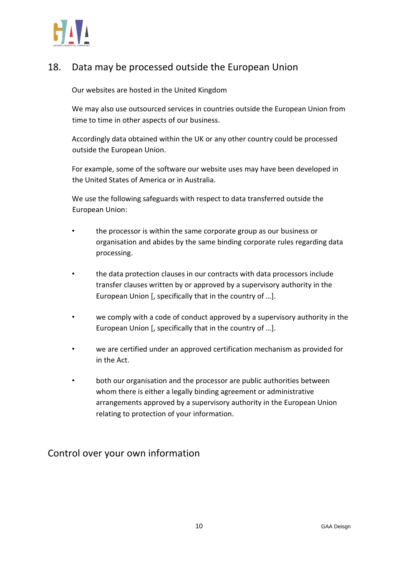

# 18. Data may be processed outside the European Union

Our websites are hosted in the United Kingdom

We may also use outsourced services in countries outside the European Union from time to time in other aspects of our business.

Accordingly data obtained within the UK or any other country could be processed outside the European Union.

For example, some of the software our website uses may have been developed in the United States of America or in Australia.

We use the following safeguards with respect to data transferred outside the European Union:

- the processor is within the same corporate group as our business or organisation and abides by the same binding corporate rules regarding data processing.
- the data protection clauses in our contracts with data processors include transfer clauses written by or approved by a supervisory authority in the European Union [, specifically that in the country of …].
- we comply with a code of conduct approved by a supervisory authority in the European Union [, specifically that in the country of …].
- we are certified under an approved certification mechanism as provided for in the Act.
- both our organisation and the processor are public authorities between whom there is either a legally binding agreement or administrative arrangements approved by a supervisory authority in the European Union relating to protection of your information.

Control over your own information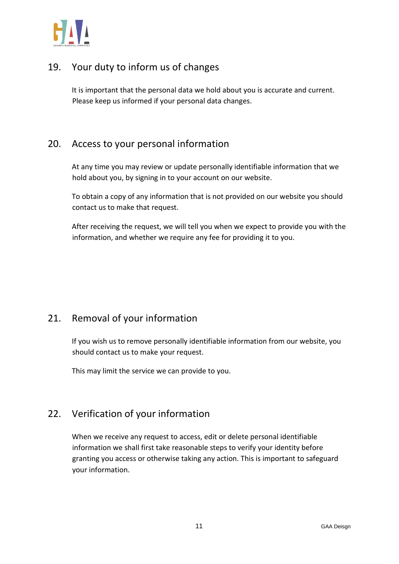

# 19. Your duty to inform us of changes

It is important that the personal data we hold about you is accurate and current. Please keep us informed if your personal data changes.

### 20. Access to your personal information

At any time you may review or update personally identifiable information that we hold about you, by signing in to your account on our website.

To obtain a copy of any information that is not provided on our website you should contact us to make that request.

After receiving the request, we will tell you when we expect to provide you with the information, and whether we require any fee for providing it to you.

## 21. Removal of your information

If you wish us to remove personally identifiable information from our website, you should contact us to make your request.

This may limit the service we can provide to you.

# 22. Verification of your information

When we receive any request to access, edit or delete personal identifiable information we shall first take reasonable steps to verify your identity before granting you access or otherwise taking any action. This is important to safeguard your information.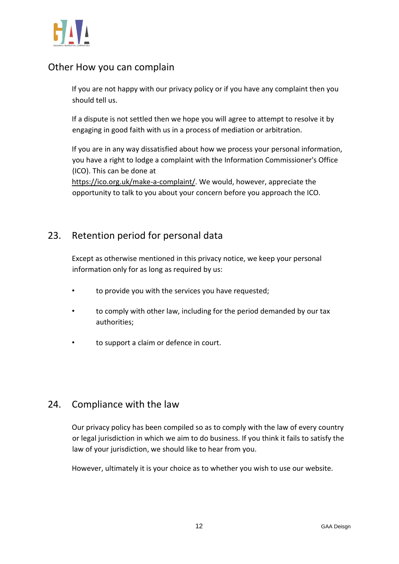

### Other How you can complain

If you are not happy with our privacy policy or if you have any complaint then you should tell us.

If a dispute is not settled then we hope you will agree to attempt to resolve it by engaging in good faith with us in a process of mediation or arbitration.

If you are in any way dissatisfied about how we process your personal information, you have a right to lodge a complaint with the Information Commissioner's Office (ICO). This can be done at

[https://ico.org.uk/make-a-complaint/.](https://ico.org.uk/make-a-complaint/) We would, however, appreciate the opportunity to talk to you about your concern before you approach the ICO.

### 23. Retention period for personal data

Except as otherwise mentioned in this privacy notice, we keep your personal information only for as long as required by us:

- to provide you with the services you have requested;
- to comply with other law, including for the period demanded by our tax authorities;
- to support a claim or defence in court.

#### 24. Compliance with the law

Our privacy policy has been compiled so as to comply with the law of every country or legal jurisdiction in which we aim to do business. If you think it fails to satisfy the law of your jurisdiction, we should like to hear from you.

However, ultimately it is your choice as to whether you wish to use our website.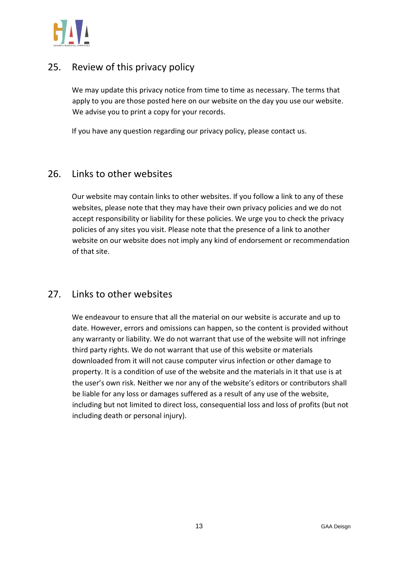

## 25. Review of this privacy policy

We may update this privacy notice from time to time as necessary. The terms that apply to you are those posted here on our website on the day you use our website. We advise you to print a copy for your records.

If you have any question regarding our privacy policy, please contact us.

#### 26. Links to other websites

Our website may contain links to other websites. If you follow a link to any of these websites, please note that they may have their own privacy policies and we do not accept responsibility or liability for these policies. We urge you to check the privacy policies of any sites you visit. Please note that the presence of a link to another website on our website does not imply any kind of endorsement or recommendation of that site.

#### 27. Links to other websites

We endeavour to ensure that all the material on our website is accurate and up to date. However, errors and omissions can happen, so the content is provided without any warranty or liability. We do not warrant that use of the website will not infringe third party rights. We do not warrant that use of this website or materials downloaded from it will not cause computer virus infection or other damage to property. It is a condition of use of the website and the materials in it that use is at the user's own risk. Neither we nor any of the website's editors or contributors shall be liable for any loss or damages suffered as a result of any use of the website, including but not limited to direct loss, consequential loss and loss of profits (but not including death or personal injury).